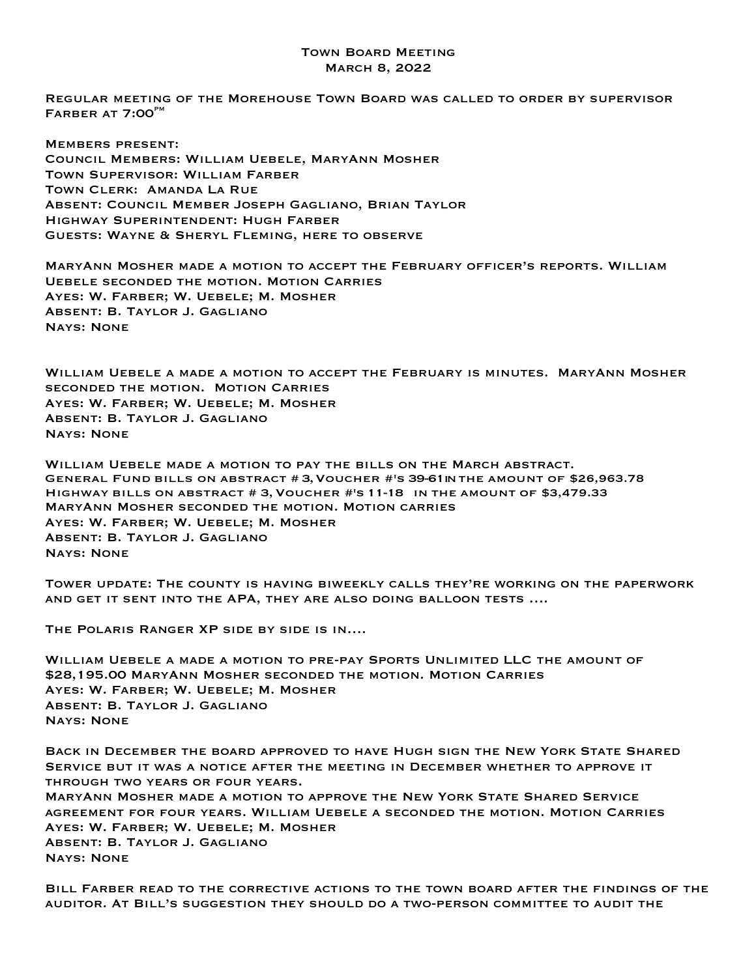## Town Board Meeting March 8, 2022

Regular meeting of the Morehouse Town Board was called to order by supervisor  $F$ ARBER AT  $7:00^{P}$ <sup>M</sup>

Members present: Council Members: William Uebele, MaryAnn Mosher Town Supervisor: William Farber Town Clerk: Amanda La Rue Absent: Council Member Joseph Gagliano, Brian Taylor Highway Superintendent: Hugh Farber Guests: Wayne & Sheryl Fleming, here to observe

MaryAnn Mosher made a motion to accept the February officer's reports. William Uebele seconded the motion. Motion Carries Ayes: W. Farber; W. Uebele; M. Mosher Absent: B. Taylor J. Gagliano Nays: None

William Uebele a made a motion to accept the February is minutes. MaryAnn Mosher seconded the motion. Motion Carries Ayes: W. Farber; W. Uebele; M. Mosher Absent: B. Taylor J. Gagliano Nays: None

WILLIAM UEBELE MADE A MOTION TO PAY THE BILLS ON THE MARCH ABSTRACT.<br>GENERAL FUND BILLS ON ABSTRACT # 3,VOUCHER #'S 39-61INTHE AMOUNT OF \$26,963.78 Highway bills on abstract # 3,Voucher #'s 11-18 in the amount of \$3,479.33 MaryAnn Mosher seconded the motion. Motion carries Ayes: W. Farber; W. Uebele; M. Mosher Absent: B. Taylor J. Gagliano Nays: None

Tower update: The county is having biweekly calls they're working on the paperwork and get it sent into the APA, they are also doing balloon tests ….

The Polaris Ranger XP side by side is in….

William Uebele a made a motion to pre-pay Sports Unlimited LLC the amount of \$28,195.00 MaryAnn Mosher seconded the motion. Motion Carries Ayes: W. Farber; W. Uebele; M. Mosher Absent: B. Taylor J. Gagliano Nays: None

Back in December the board approved to have Hugh sign the New York State Shared Service but it was a notice after the meeting in December whether to approve it through two years or four years. MaryAnn Mosher made a motion to approve the New York State Shared Service agreement for four years. William Uebele a seconded the motion. Motion Carries Ayes: W. Farber; W. Uebele; M. Mosher Absent: B. Taylor J. Gagliano Nays: None

Bill Farber read to the corrective actions to the town board after the findings of the auditor. At Bill's suggestion they should do a two-person committee to audit the